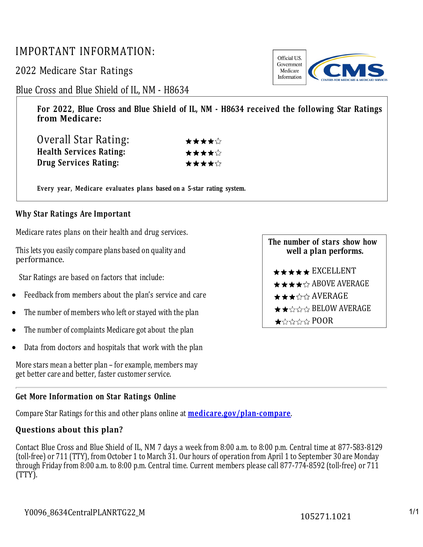# IMPORTANT INFORMATION:

2022 Medicare Star Ratings

## Blue Cross and Blue Shield of IL, NM - H8634

**For 2022, Blue Cross and Blue Shield of IL, NM - H8634 received the following Star Ratings from Medicare:**

| Overall Star Rating:           | ★★★★☆ |
|--------------------------------|-------|
| <b>Health Services Rating:</b> | ★★★★☆ |
| Drug Services Rating:          | ★★★★☆ |

**Every year, Medicare evaluates plans based on a 5-star rating system.**

### **Why Star Ratings Are Important**

Medicare rates plans on their health and drug services.

This lets you easily compare plans based on quality and performance.

Star Ratings are based on factors that include:

- Feedback from members about the plan's service and care
- The number of members who left or stayed with the plan
- The number of complaints Medicare got about the plan
- Data from doctors and hospitals that work with the plan

More stars mean a better plan – for example, members may get better care and better, faster customer service.

#### **Get More Information on Star Ratings Online**

Compare Star Ratings for this and other plans online at **[medicare.gov/plan-compare](http://www.medicare.gov/plan-compare/)**.

### **Questions about this plan?**

Contact Blue Cross and Blue Shield of IL, NM 7 days a week from 8:00 a.m. to 8:00 p.m. Central time at 877-583-8129 (toll-free) or 711 (TTY), from October 1 to March 31. Our hours of operation from April 1 to September 30 are Monday through Friday from 8:00 a.m. to 8:00 p.m. Central time. Current members please call 877-774-8592 (toll-free) or 711 (TTY).